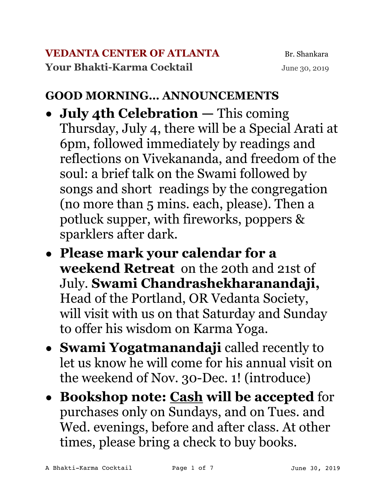#### **GOOD MORNING… ANNOUNCEMENTS**

- **• July 4th Celebration** This coming Thursday, July 4, there will be a Special Arati at 6pm, followed immediately by readings and reflections on Vivekananda, and freedom of the soul: a brief talk on the Swami followed by songs and short readings by the congregation (no more than 5 mins. each, please). Then a potluck supper, with fireworks, poppers & sparklers after dark.
- **• Please mark your calendar for a weekend Retreat** on the 20th and 21st of July. **Swami Chandrashekharanandaji,** Head of the Portland, OR Vedanta Society, will visit with us on that Saturday and Sunday to offer his wisdom on Karma Yoga.
- **• Swami Yogatmanandaji** called recently to let us know he will come for his annual visit on the weekend of Nov. 30-Dec. 1! (introduce)
- **• Bookshop note: Cash will be accepted** for purchases only on Sundays, and on Tues. and Wed. evenings, before and after class. At other times, please bring a check to buy books.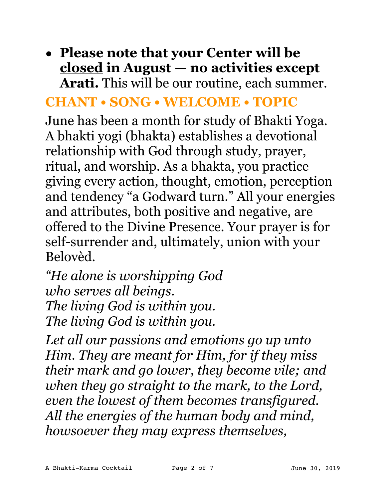## **• Please note that your Center will be closed in August — no activities except Arati.** This will be our routine, each summer.

### **CHANT • SONG • WELCOME • TOPIC**

June has been a month for study of Bhakti Yoga. A bhakti yogi (bhakta) establishes a devotional relationship with God through study, prayer, ritual, and worship. As a bhakta, you practice giving every action, thought, emotion, perception and tendency "a Godward turn." All your energies and attributes, both positive and negative, are offered to the Divine Presence. Your prayer is for self-surrender and, ultimately, union with your Belovèd.

*"He alone is worshipping God who serves all beings. The living God is within you. The living God is within you.* 

*Let all our passions and emotions go up unto Him. They are meant for Him, for if they miss their mark and go lower, they become vile; and when they go straight to the mark, to the Lord, even the lowest of them becomes transfigured. All the energies of the human body and mind, howsoever they may express themselves,*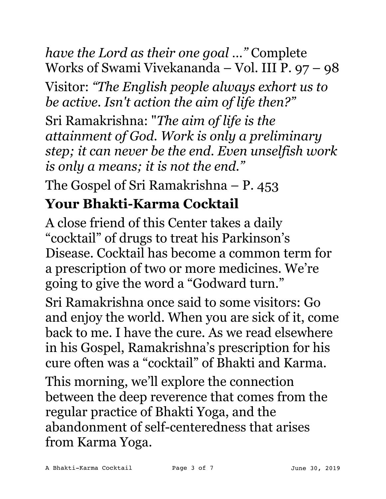*have the Lord as their one goal …"* Complete Works of Swami Vivekananda – Vol. III P. 97 – 98

Visitor: *"The English people always exhort us to be active. Isn't action the aim of life then?"* 

Sri Ramakrishna: "*The aim of life is the attainment of God. Work is only a preliminary step; it can never be the end. Even unselfish work is only a means; it is not the end."* 

The Gospel of Sri Ramakrishna – P. 453

# **Your Bhakti-Karma Cocktail**

A close friend of this Center takes a daily "cocktail" of drugs to treat his Parkinson's Disease. Cocktail has become a common term for a prescription of two or more medicines. We're going to give the word a "Godward turn."

Sri Ramakrishna once said to some visitors: Go and enjoy the world. When you are sick of it, come back to me. I have the cure. As we read elsewhere in his Gospel, Ramakrishna's prescription for his cure often was a "cocktail" of Bhakti and Karma.

This morning, we'll explore the connection between the deep reverence that comes from the regular practice of Bhakti Yoga, and the abandonment of self-centeredness that arises from Karma Yoga.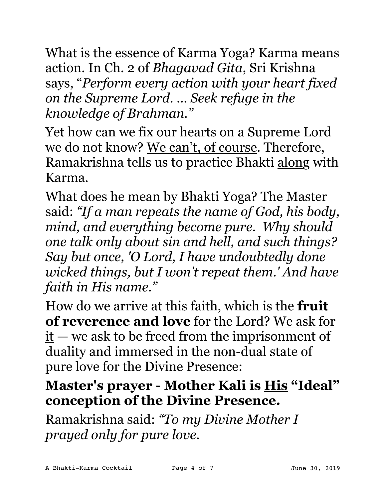What is the essence of Karma Yoga? Karma means action. In Ch. 2 of *Bhagavad Gita*, Sri Krishna says, "*Perform every action with your heart fixed on the Supreme Lord. … Seek refuge in the knowledge of Brahman."*

Yet how can we fix our hearts on a Supreme Lord we do not know? We can't, of course. Therefore, Ramakrishna tells us to practice Bhakti along with Karma.

What does he mean by Bhakti Yoga? The Master said: *"If a man repeats the name of God, his body, mind, and everything become pure. Why should one talk only about sin and hell, and such things? Say but once, 'O Lord, I have undoubtedly done wicked things, but I won't repeat them.' And have faith in His name."* 

How do we arrive at this faith, which is the **fruit of reverence and love** for the Lord? We ask for  $it$  — we ask to be freed from the imprisonment of duality and immersed in the non-dual state of pure love for the Divine Presence:

# **Master's prayer - Mother Kali is His "Ideal" conception of the Divine Presence.**

Ramakrishna said: *"To my Divine Mother I prayed only for pure love.*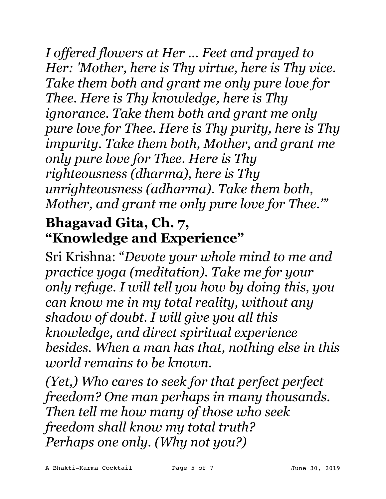*I offered flowers at Her … Feet and prayed to Her: 'Mother, here is Thy virtue, here is Thy vice. Take them both and grant me only pure love for Thee. Here is Thy knowledge, here is Thy ignorance. Take them both and grant me only pure love for Thee. Here is Thy purity, here is Thy impurity. Take them both, Mother, and grant me only pure love for Thee. Here is Thy righteousness (dharma), here is Thy unrighteousness (adharma). Take them both, Mother, and grant me only pure love for Thee.'"*

# **Bhagavad Gita, Ch. 7, "Knowledge and Experience"**

Sri Krishna: "*Devote your whole mind to me and practice yoga (meditation). Take me for your only refuge. I will tell you how by doing this, you can know me in my total reality, without any shadow of doubt. I will give you all this knowledge, and direct spiritual experience besides. When a man has that, nothing else in this world remains to be known.* 

*(Yet,) Who cares to seek for that perfect perfect freedom? One man perhaps in many thousands. Then tell me how many of those who seek freedom shall know my total truth? Perhaps one only. (Why not you?)*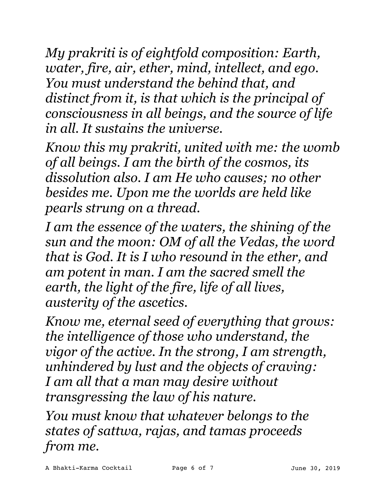*My prakriti is of eightfold composition: Earth, water, fire, air, ether, mind, intellect, and ego. You must understand the behind that, and distinct from it, is that which is the principal of consciousness in all beings, and the source of life in all. It sustains the universe.* 

*Know this my prakriti, united with me: the womb of all beings. I am the birth of the cosmos, its dissolution also. I am He who causes; no other besides me. Upon me the worlds are held like pearls strung on a thread.* 

*I am the essence of the waters, the shining of the sun and the moon: OM of all the Vedas, the word that is God. It is I who resound in the ether, and am potent in man. I am the sacred smell the earth, the light of the fire, life of all lives, austerity of the ascetics.* 

*Know me, eternal seed of everything that grows: the intelligence of those who understand, the vigor of the active. In the strong, I am strength, unhindered by lust and the objects of craving: I am all that a man may desire without transgressing the law of his nature.* 

*You must know that whatever belongs to the states of sattwa, rajas, and tamas proceeds from me.*